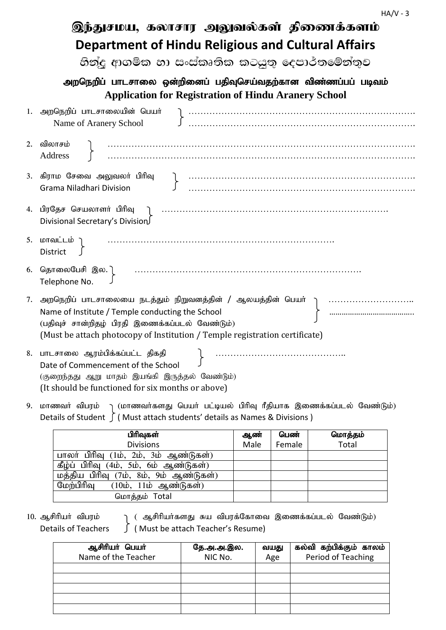|    | இந்துசமய, கலாசார அலுவல்கள் திணைக்களம்                                                                                                                                              |  |  |  |  |  |  |
|----|------------------------------------------------------------------------------------------------------------------------------------------------------------------------------------|--|--|--|--|--|--|
|    | <b>Department of Hindu Religious and Cultural Affairs</b>                                                                                                                          |  |  |  |  |  |  |
|    | හින්දු ආගමික හා සංස්කෘතික කටයුතු දෙපාර්තමේන්තුව<br>அறநெறிப் பாடசாலை ஒன்றினைப் பதிவுசெய்வதற்கான விண்ணப்பப் படிவம்<br><b>Application for Registration of Hindu Aranery School</b>    |  |  |  |  |  |  |
|    |                                                                                                                                                                                    |  |  |  |  |  |  |
|    | 1. அறநெறிப் பாடசாலையின் பெயர்<br>Name of Aranery School                                                                                                                            |  |  |  |  |  |  |
| 2. | விலாசம்<br>Address                                                                                                                                                                 |  |  |  |  |  |  |
|    | 3. கிராம சேவை அலுவலா் பிரிவு<br>Grama Niladhari Division                                                                                                                           |  |  |  |  |  |  |
|    | 4. பிரதேச செயலாளா் பிரிவு<br>Divisional Secretary's Division                                                                                                                       |  |  |  |  |  |  |
|    | 5. மாவட்டம் ๅ<br><b>District</b>                                                                                                                                                   |  |  |  |  |  |  |
|    | 6. தொலைபேசி இல.]<br>Telephone No.                                                                                                                                                  |  |  |  |  |  |  |
| 7. | Name of Institute / Temple conducting the School<br>(பதிவுச் சான்றிதழ் பிரதி இணைக்கப்படல் வேண்டும்)<br>(Must be attach photocopy of Institution / Temple registration certificate) |  |  |  |  |  |  |
|    | 8. பாடசாலை ஆரம்பிக்கப்பட்ட திகதி<br>Date of Commencement of the School<br>(குறைந்தது ஆறு மாதம் இயங்கி இருத்தல் வேண்டும்)<br>(It should be functioned for six months or above)      |  |  |  |  |  |  |

9. மாணவா் விபரம் <sub>)</sub> (மாணவா்களது பெயா் பட்டியல் பிாிவு ரீதியாக இணைக்கப்படல் வேண்டும்) Details of Student ∫ ( Must attach students' details as Names & Divisions )

| பிரிவுகள்                                                          | ஆண்  | பெண்   | மொத்தம் |
|--------------------------------------------------------------------|------|--------|---------|
| <b>Divisions</b>                                                   | Male | Female | Total   |
| பாலர் பிரிவு (1ம், 2ம், 3ம் ஆண்டுகள்)                              |      |        |         |
| கீழ்ப் பிரிவு (4ம், 5ம், 6ம் ஆண்டுகள்)                             |      |        |         |
| மத்திய பிரிவு (7ம், 8ம், 9ம் ஆண்டுகள்)                             |      |        |         |
| மேற்பிரிவு<br>$(10\dot{\mathbf{b}}, 11\dot{\mathbf{b}})$ ஆண்டுகள்) |      |        |         |
| மொத்தம் Total                                                      |      |        |         |

10. ஆசிரியா் விபரம் ( ஆசிரியா்களது சுய விபரக்கோவை இணைக்கப்படல் வேண்டும்) Details of Teachers ( Must be attach Teacher's Resume)

| ஆசிரியர் பெயர்<br>Name of the Teacher | தே.அ.அ.இல.<br>NIC No. | வயது<br>Age | கல்வி கற்பிக்கும் காலம்<br>Period of Teaching |
|---------------------------------------|-----------------------|-------------|-----------------------------------------------|
|                                       |                       |             |                                               |
|                                       |                       |             |                                               |
|                                       |                       |             |                                               |
|                                       |                       |             |                                               |
|                                       |                       |             |                                               |